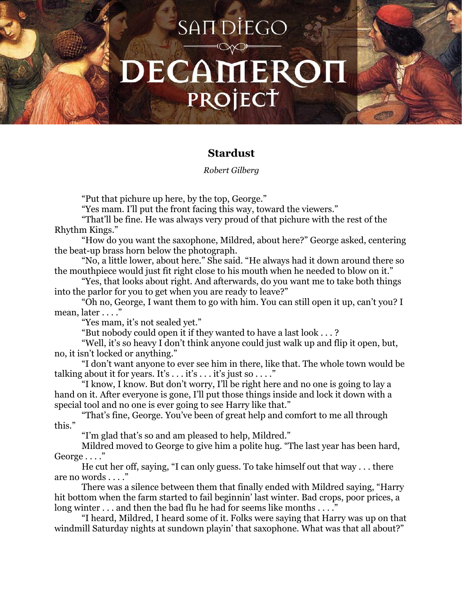## SAN DİEGO DECAMERO PROJECT

## **Stardust**

## *Robert Gilberg*

"Put that pichure up here, by the top, George."

"Yes mam. I'll put the front facing this way, toward the viewers."

"That'll be fine. He was always very proud of that pichure with the rest of the Rhythm Kings."

"How do you want the saxophone, Mildred, about here?" George asked, centering the beat-up brass horn below the photograph.

"No, a little lower, about here." She said. "He always had it down around there so the mouthpiece would just fit right close to his mouth when he needed to blow on it."

"Yes, that looks about right. And afterwards, do you want me to take both things into the parlor for you to get when you are ready to leave?"

"Oh no, George, I want them to go with him. You can still open it up, can't you? I mean, later . . . ."

"Yes mam, it's not sealed yet."

"But nobody could open it if they wanted to have a last look . . . ?

"Well, it's so heavy I don't think anyone could just walk up and flip it open, but, no, it isn't locked or anything."

"I don't want anyone to ever see him in there, like that. The whole town would be talking about it for years. It's  $\dots$  it's  $\dots$  it's just so  $\dots$ ."

"I know, I know. But don't worry, I'll be right here and no one is going to lay a hand on it. After everyone is gone, I'll put those things inside and lock it down with a special tool and no one is ever going to see Harry like that."

"That's fine, George. You've been of great help and comfort to me all through this."

"I'm glad that's so and am pleased to help, Mildred."

Mildred moved to George to give him a polite hug. "The last year has been hard, George . . . ."

He cut her off, saying, "I can only guess. To take himself out that way . . . there are no words . . . ."

There was a silence between them that finally ended with Mildred saying, "Harry hit bottom when the farm started to fail beginnin' last winter. Bad crops, poor prices, a long winter . . . and then the bad flu he had for seems like months . . . ."

"I heard, Mildred, I heard some of it. Folks were saying that Harry was up on that windmill Saturday nights at sundown playin' that saxophone. What was that all about?"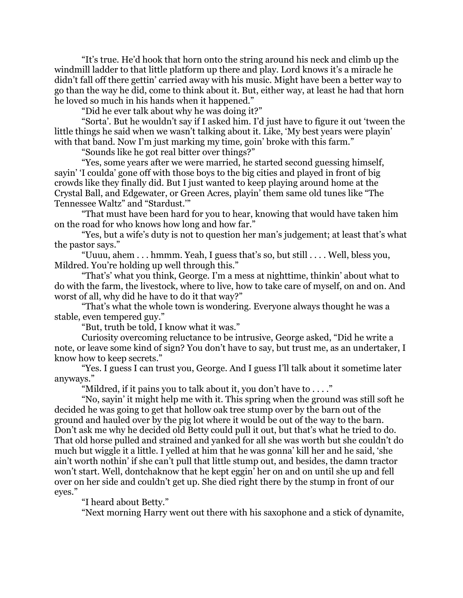"It's true. He'd hook that horn onto the string around his neck and climb up the windmill ladder to that little platform up there and play. Lord knows it's a miracle he didn't fall off there gettin' carried away with his music. Might have been a better way to go than the way he did, come to think about it. But, either way, at least he had that horn he loved so much in his hands when it happened."

"Did he ever talk about why he was doing it?"

"Sorta'. But he wouldn't say if I asked him. I'd just have to figure it out 'tween the little things he said when we wasn't talking about it. Like, 'My best years were playin' with that band. Now I'm just marking my time, goin' broke with this farm."

"Sounds like he got real bitter over things?"

"Yes, some years after we were married, he started second guessing himself, sayin' 'I coulda' gone off with those boys to the big cities and played in front of big crowds like they finally did. But I just wanted to keep playing around home at the Crystal Ball, and Edgewater, or Green Acres, playin' them same old tunes like "The Tennessee Waltz" and "Stardust.'"

"That must have been hard for you to hear, knowing that would have taken him on the road for who knows how long and how far."

"Yes, but a wife's duty is not to question her man's judgement; at least that's what the pastor says."

"Uuuu, ahem . . . hmmm. Yeah, I guess that's so, but still . . . . Well, bless you, Mildred. You're holding up well through this."

"That's' what you think, George. I'm a mess at nighttime, thinkin' about what to do with the farm, the livestock, where to live, how to take care of myself, on and on. And worst of all, why did he have to do it that way?"

"That's what the whole town is wondering. Everyone always thought he was a stable, even tempered guy."

"But, truth be told, I know what it was."

Curiosity overcoming reluctance to be intrusive, George asked, "Did he write a note, or leave some kind of sign? You don't have to say, but trust me, as an undertaker, I know how to keep secrets."

"Yes. I guess I can trust you, George. And I guess I'll talk about it sometime later anyways."

"Mildred, if it pains you to talk about it, you don't have to  $\dots$  ."

"No, sayin' it might help me with it. This spring when the ground was still soft he decided he was going to get that hollow oak tree stump over by the barn out of the ground and hauled over by the pig lot where it would be out of the way to the barn. Don't ask me why he decided old Betty could pull it out, but that's what he tried to do. That old horse pulled and strained and yanked for all she was worth but she couldn't do much but wiggle it a little. I yelled at him that he was gonna' kill her and he said, 'she ain't worth nothin' if she can't pull that little stump out, and besides, the damn tractor won't start. Well, dontchaknow that he kept eggin' her on and on until she up and fell over on her side and couldn't get up. She died right there by the stump in front of our eyes."

"I heard about Betty."

"Next morning Harry went out there with his saxophone and a stick of dynamite,